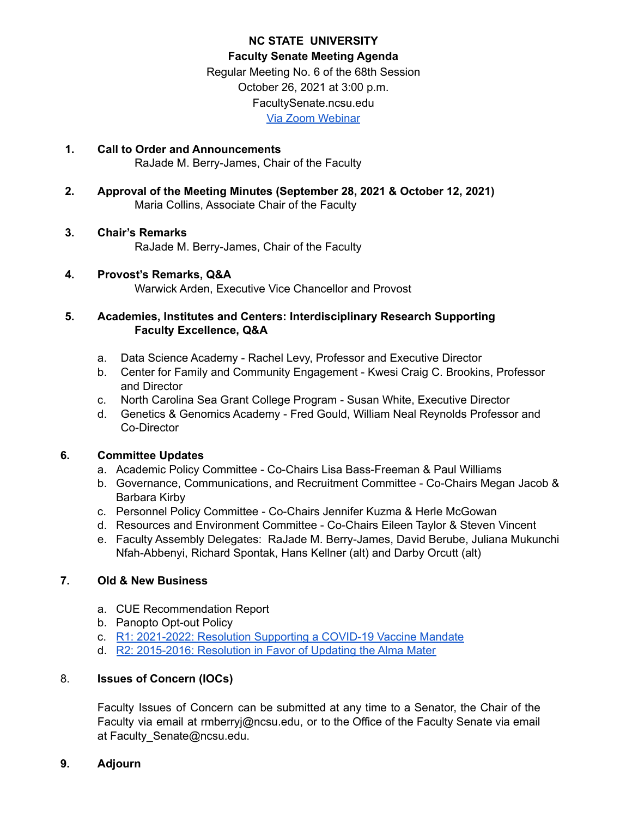# **NC STATE UNIVERSITY Faculty Senate Meeting Agenda** Regular Meeting No. 6 of the 68th Session October 26, 2021 at 3:00 p.m. FacultySenate.ncsu.edu

Via Zoom [Webinar](https://ncsu.zoom.us/webinar/register/WN_D0yELiv9TWqR6-BQz0XWFQ)

- **1. Call to Order and Announcements** RaJade M. Berry-James, Chair of the Faculty
- **2. Approval of the Meeting Minutes (September 28, 2021 & October 12, 2021)** Maria Collins, Associate Chair of the Faculty
- **3. Chair's Remarks** RaJade M. Berry-James, Chair of the Faculty

### **4. Provost's Remarks, Q&A** Warwick Arden, Executive Vice Chancellor and Provost

# **5. Academies, Institutes and Centers: Interdisciplinary Research Supporting Faculty Excellence, Q&A**

- a. Data Science Academy Rachel Levy, Professor and Executive Director
- b. Center for Family and Community Engagement Kwesi Craig C. Brookins, Professor and Director
- c. North Carolina Sea Grant College Program Susan White, Executive Director
- d. Genetics & Genomics Academy Fred Gould, William Neal Reynolds Professor and Co-Director

# **6. Committee Updates**

- a. Academic Policy Committee Co-Chairs Lisa Bass-Freeman & Paul Williams
- b. Governance, Communications, and Recruitment Committee Co-Chairs Megan Jacob & Barbara Kirby
- c. Personnel Policy Committee Co-Chairs Jennifer Kuzma & Herle McGowan
- d. Resources and Environment Committee Co-Chairs Eileen Taylor & Steven Vincent
- e. Faculty Assembly Delegates: RaJade M. Berry-James, David Berube, Juliana Mukunchi Nfah-Abbenyi, Richard Spontak, Hans Kellner (alt) and Darby Orcutt (alt)

# **7. Old & New Business**

- a. CUE Recommendation Report
- b. Panopto Opt-out Policy
- c. R1: [2021-2022:](https://facultysenate.ncsu.edu/wp-content/uploads/sites/65/2021/09/NCSU-28th-Faculty-Senate-R1-2021_2022-Resolution-of-COVID-19-Vaccine-Mandate.pdf) Resolution Supporting a COVID-19 Vaccine Mandate
- d. R2: [2015-2016:](https://facultysenate.ncsu.edu/wp-content/uploads/sites/65/2016/05/R2-AlmaMater.pdf) Resolution in Favor of Updating the Alma Mater

# 8. **Issues of Concern (IOCs)**

Faculty Issues of Concern can be submitted at any time to a Senator, the Chair of the Faculty via email at rmberryj@ncsu.edu, or to the Office of the Faculty Senate via email at Faculty\_Senate@ncsu.edu.

## **9. Adjourn**